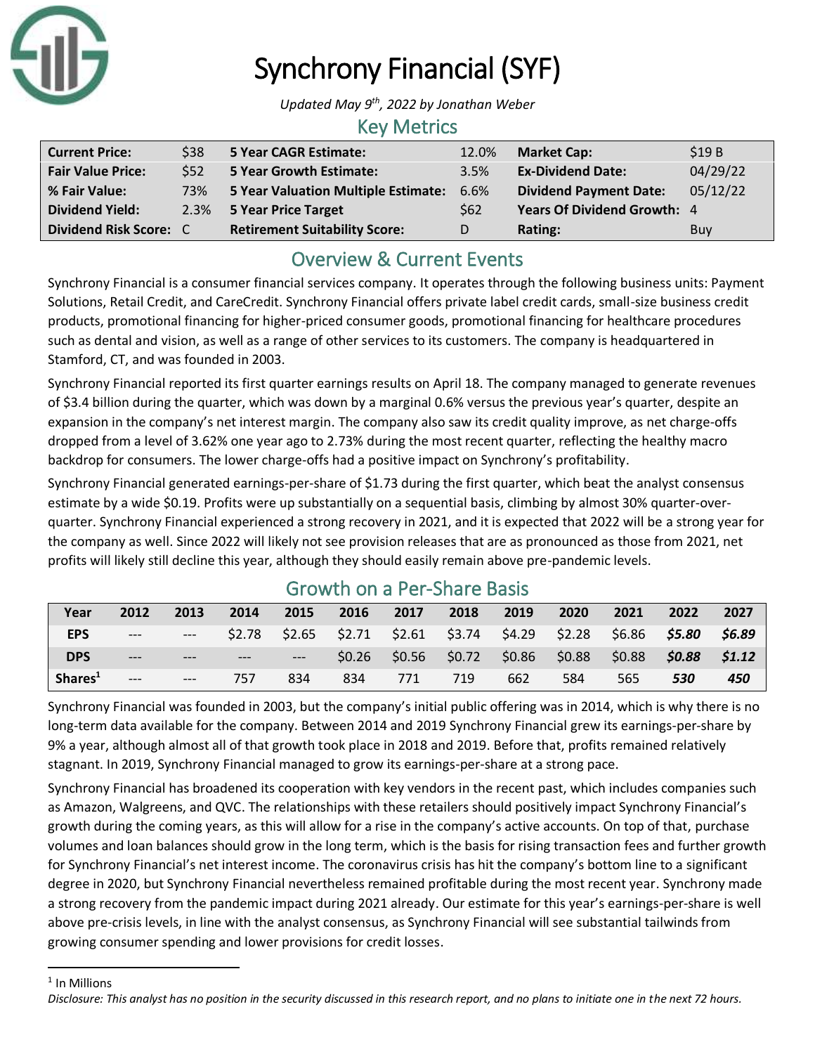

# Synchrony Financial (SYF)

*Updated May 9 th, 2022 by Jonathan Weber*

#### Key Metrics

| <b>Current Price:</b>    | \$38    | 5 Year CAGR Estimate:                | 12.0%      | <b>Market Cap:</b>                 | \$19B      |
|--------------------------|---------|--------------------------------------|------------|------------------------------------|------------|
| <b>Fair Value Price:</b> | \$52    | <b>5 Year Growth Estimate:</b>       | 3.5%       | <b>Ex-Dividend Date:</b>           | 04/29/22   |
| % Fair Value:            | 73%     | 5 Year Valuation Multiple Estimate:  | 6.6%       | <b>Dividend Payment Date:</b>      | 05/12/22   |
| <b>Dividend Yield:</b>   | $2.3\%$ | 5 Year Price Target                  | <b>S62</b> | <b>Years Of Dividend Growth: 4</b> |            |
| Dividend Risk Score: C   |         | <b>Retirement Suitability Score:</b> |            | Rating:                            | <b>Buy</b> |

## Overview & Current Events

Synchrony Financial is a consumer financial services company. It operates through the following business units: Payment Solutions, Retail Credit, and CareCredit. Synchrony Financial offers private label credit cards, small-size business credit products, promotional financing for higher-priced consumer goods, promotional financing for healthcare procedures such as dental and vision, as well as a range of other services to its customers. The company is headquartered in Stamford, CT, and was founded in 2003.

Synchrony Financial reported its first quarter earnings results on April 18. The company managed to generate revenues of \$3.4 billion during the quarter, which was down by a marginal 0.6% versus the previous year's quarter, despite an expansion in the company's net interest margin. The company also saw its credit quality improve, as net charge-offs dropped from a level of 3.62% one year ago to 2.73% during the most recent quarter, reflecting the healthy macro backdrop for consumers. The lower charge-offs had a positive impact on Synchrony's profitability.

Synchrony Financial generated earnings-per-share of \$1.73 during the first quarter, which beat the analyst consensus estimate by a wide \$0.19. Profits were up substantially on a sequential basis, climbing by almost 30% quarter-overquarter. Synchrony Financial experienced a strong recovery in 2021, and it is expected that 2022 will be a strong year for the company as well. Since 2022 will likely not see provision releases that are as pronounced as those from 2021, net profits will likely still decline this year, although they should easily remain above pre-pandemic levels.

| Year                | 2012  | 2013  | 2014  | 2015 | 2016                                                                    | 2017 | 2018 | 2019                                    | 2020 | 2021   | 2022            | 2027   |
|---------------------|-------|-------|-------|------|-------------------------------------------------------------------------|------|------|-----------------------------------------|------|--------|-----------------|--------|
| <b>EPS</b>          | $---$ | $---$ |       |      | $$2.78$ $$2.65$ $$2.71$ $$2.61$ $$3.74$ $$4.29$ $$2.28$ $$6.86$ $$5.80$ |      |      |                                         |      |        |                 | \$6.89 |
| <b>DPS</b>          | $---$ |       | $---$ |      |                                                                         |      |      | $$0.26$ $$0.56$ $$0.72$ $$0.86$ $$0.88$ |      | \$0.88 | $$0.88$ $$1.12$ |        |
| Shares <sup>1</sup> | $---$ | $---$ | 757   | 834  | 834                                                                     | 771  | 719  | 662                                     | 584  | 565    | 530             | 450    |

### Growth on a Per-Share Basis

Synchrony Financial was founded in 2003, but the company's initial public offering was in 2014, which is why there is no long-term data available for the company. Between 2014 and 2019 Synchrony Financial grew its earnings-per-share by 9% a year, although almost all of that growth took place in 2018 and 2019. Before that, profits remained relatively stagnant. In 2019, Synchrony Financial managed to grow its earnings-per-share at a strong pace.

Synchrony Financial has broadened its cooperation with key vendors in the recent past, which includes companies such as Amazon, Walgreens, and QVC. The relationships with these retailers should positively impact Synchrony Financial's growth during the coming years, as this will allow for a rise in the company's active accounts. On top of that, purchase volumes and loan balances should grow in the long term, which is the basis for rising transaction fees and further growth for Synchrony Financial's net interest income. The coronavirus crisis has hit the company's bottom line to a significant degree in 2020, but Synchrony Financial nevertheless remained profitable during the most recent year. Synchrony made a strong recovery from the pandemic impact during 2021 already. Our estimate for this year's earnings-per-share is well above pre-crisis levels, in line with the analyst consensus, as Synchrony Financial will see substantial tailwinds from growing consumer spending and lower provisions for credit losses.

<sup>1</sup> In Millions

*Disclosure: This analyst has no position in the security discussed in this research report, and no plans to initiate one in the next 72 hours.*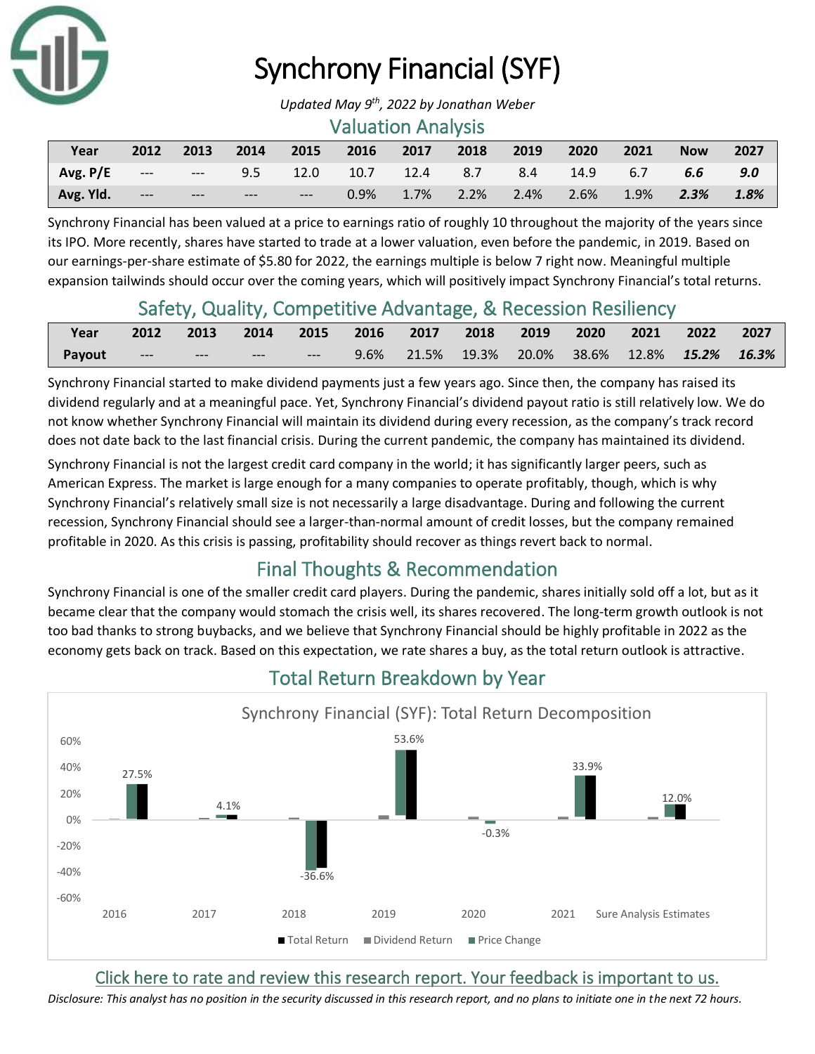

# Synchrony Financial (SYF)

#### Valuation Analysis

| Year      | 2012  | 2013 | $\sim$ 2014 |        | 2015 2016 2017 2018 2019                    |  |                             | $\sqrt{2020}$ | $\sqrt{2021}$ | <b>Now</b>         | 2027 |
|-----------|-------|------|-------------|--------|---------------------------------------------|--|-----------------------------|---------------|---------------|--------------------|------|
| Avg.P/E   |       |      |             |        | --- --- 9.5 12.0 10.7 12.4 8.7 8.4 14.9 6.7 |  |                             |               |               | 6.6                | 9.0  |
| Avg. Yld. | $---$ | $-$  | $---$       | $   -$ |                                             |  | $0.9\%$ 1.7% 2.2% 2.4% 2.6% |               | $1.9\%$       | $\overline{2.3\%}$ | 1.8% |

Synchrony Financial has been valued at a price to earnings ratio of roughly 10 throughout the majority of the years since its IPO. More recently, shares have started to trade at a lower valuation, even before the pandemic, in 2019. Based on our earnings-per-share estimate of \$5.80 for 2022, the earnings multiple is below 7 right now. Meaningful multiple expansion tailwinds should occur over the coming years, which will positively impact Synchrony Financial's total returns.

#### Safety, Quality, Competitive Advantage, & Recession Resiliency

| Year   |                             |              |       |       | 2012 2013 2014 2015 2016 2017 2018 2019 2020 2021 2022 2027 |  |  |  |
|--------|-----------------------------|--------------|-------|-------|-------------------------------------------------------------|--|--|--|
| Payout | $\sim$ $\sim$ $\sim$ $\sim$ | <b>SHAPE</b> | ----- | $---$ | 9.6% 21.5% 19.3% 20.0% 38.6% 12.8% 15.2% 16.3%              |  |  |  |

Synchrony Financial started to make dividend payments just a few years ago. Since then, the company has raised its dividend regularly and at a meaningful pace. Yet, Synchrony Financial's dividend payout ratio is still relatively low. We do not know whether Synchrony Financial will maintain its dividend during every recession, as the company's track record does not date back to the last financial crisis. During the current pandemic, the company has maintained its dividend.

Synchrony Financial is not the largest credit card company in the world; it has significantly larger peers, such as American Express. The market is large enough for a many companies to operate profitably, though, which is why Synchrony Financial's relatively small size is not necessarily a large disadvantage. During and following the current recession, Synchrony Financial should see a larger-than-normal amount of credit losses, but the company remained profitable in 2020. As this crisis is passing, profitability should recover as things revert back to normal.

### Final Thoughts & Recommendation

Synchrony Financial is one of the smaller credit card players. During the pandemic, shares initially sold off a lot, but as it became clear that the company would stomach the crisis well, its shares recovered. The long-term growth outlook is not too bad thanks to strong buybacks, and we believe that Synchrony Financial should be highly profitable in 2022 as the economy gets back on track. Based on this expectation, we rate shares a buy, as the total return outlook is attractive.



# Total Return Breakdown by Year

[Click here to rate and review this research report. Your feedback is important to us.](https://suredividend.typeform.com/to/ScKeFu)

*Disclosure: This analyst has no position in the security discussed in this research report, and no plans to initiate one in the next 72 hours.*

*Updated May 9 th, 2022 by Jonathan Weber*